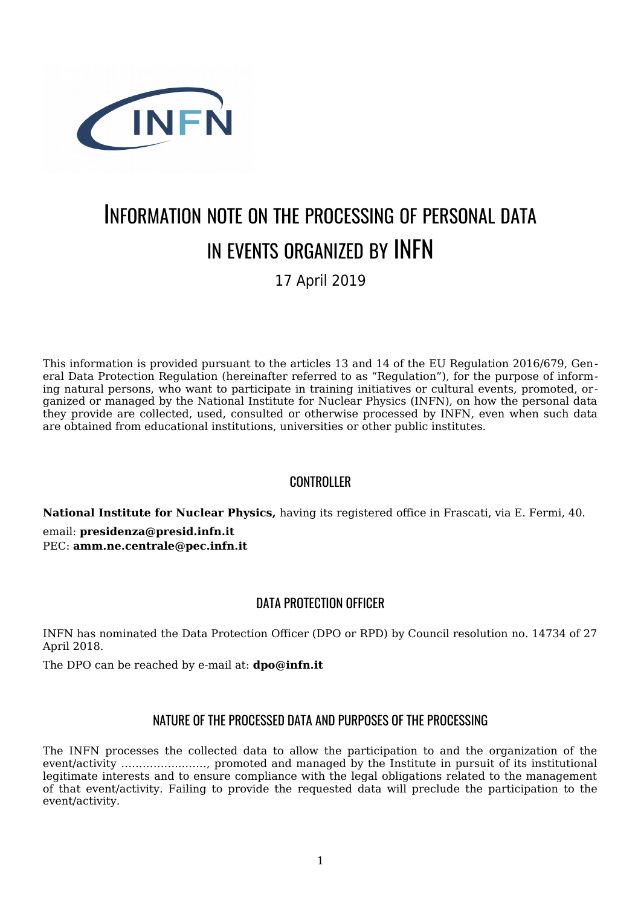

# INFORMATION NOTE ON THE PROCESSING OF PERSONAL DATA IN EVENTS ORGANIZED BY INFN

17 April 2019

This information is provided pursuant to the articles 13 and 14 of the EU Regulation 2016/679, General Data Protection Regulation (hereinafter referred to as "Regulation"), for the purpose of informing natural persons, who want to participate in training initiatives or cultural events, promoted, organized or managed by the National Institute for Nuclear Physics (INFN), on how the personal data they provide are collected, used, consulted or otherwise processed by INFN, even when such data are obtained from educational institutions, universities or other public institutes.

## **CONTROLLER**

**[Na](mailto:amm.ne.centrale@pec.infn.it)[tional Institute for](mailto:presidenza@presid.infn.it) [N](mailto:amm.ne.centrale@pec.infn.it)uclear Physics,** having its registered office in Frascati, via E. Fermi, 40. email: **presidenza@presid.infn.it** PEC: **amm.ne.centrale@pec.infn.it**

# DATA PROTECTION OFFICER

INFN has nominated the Data Protection Officer (DPO or RPD) by Council resolution no. 14734 of 27 April 2018.

The DPO can be reached by e-mail at: **dpo@infn.it**

## NATURE OF THE PROCESSED DATA AND PURPOSES OF THE PROCESSING

The INFN processes the collected data to allow the participation to and the organization of the event/activity ……………...……, promoted and managed by the Institute in pursuit of its institutional legitimate interests and to ensure compliance with the legal obligations related to the management of that event/activity. Failing to provide the requested data will preclude the participation to the event/activity.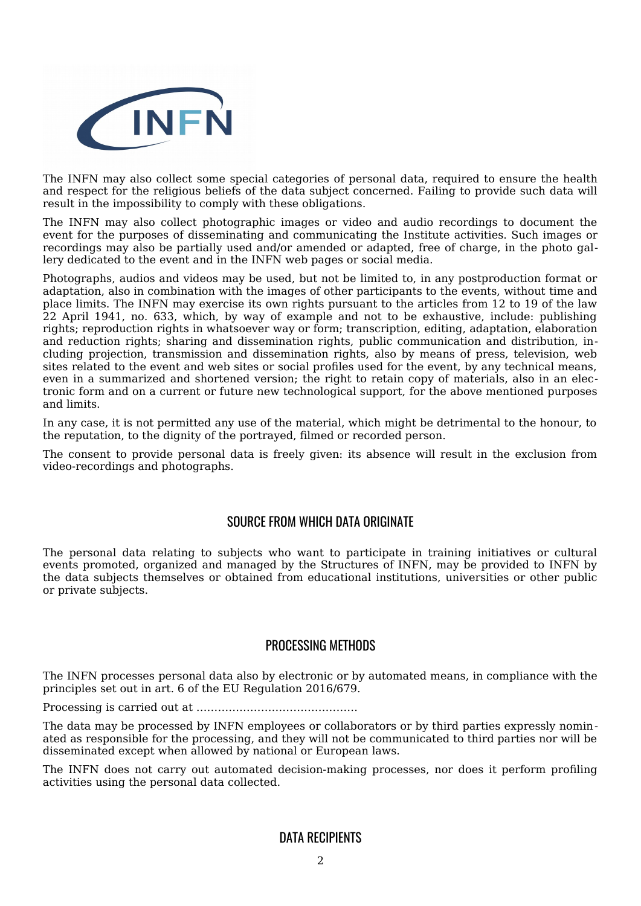

The INFN may also collect some special categories of personal data, required to ensure the health and respect for the religious beliefs of the data subject concerned. Failing to provide such data will result in the impossibility to comply with these obligations.

The INFN may also collect photographic images or video and audio recordings to document the event for the purposes of disseminating and communicating the Institute activities. Such images or recordings may also be partially used and/or amended or adapted, free of charge, in the photo gallery dedicated to the event and in the INFN web pages or social media.

Photographs, audios and videos may be used, but not be limited to, in any postproduction format or adaptation, also in combination with the images of other participants to the events, without time and place limits. The INFN may exercise its own rights pursuant to the articles from 12 to 19 of the law 22 April 1941, no. 633, which, by way of example and not to be exhaustive, include: publishing rights; reproduction rights in whatsoever way or form; transcription, editing, adaptation, elaboration and reduction rights; sharing and dissemination rights, public communication and distribution, including projection, transmission and dissemination rights, also by means of press, television, web sites related to the event and web sites or social profiles used for the event, by any technical means, even in a summarized and shortened version; the right to retain copy of materials, also in an electronic form and on a current or future new technological support, for the above mentioned purposes and limits.

In any case, it is not permitted any use of the material, which might be detrimental to the honour, to the reputation, to the dignity of the portrayed, filmed or recorded person.

The consent to provide personal data is freely given: its absence will result in the exclusion from video-recordings and photographs.

#### SOURCE FROM WHICH DATA ORIGINATE

The personal data relating to subjects who want to participate in training initiatives or cultural events promoted, organized and managed by the Structures of INFN, may be provided to INFN by the data subjects themselves or obtained from educational institutions, universities or other public or private subjects.

#### PROCESSING METHODS

The INFN processes personal data also by electronic or by automated means, in compliance with the principles set out in art. 6 of the EU Regulation 2016/679.

Processing is carried out at ………………………………………

The data may be processed by INFN employees or collaborators or by third parties expressly nominated as responsible for the processing, and they will not be communicated to third parties nor will be disseminated except when allowed by national or European laws.

The INFN does not carry out automated decision-making processes, nor does it perform profiling activities using the personal data collected.

#### DATA RECIPIENTS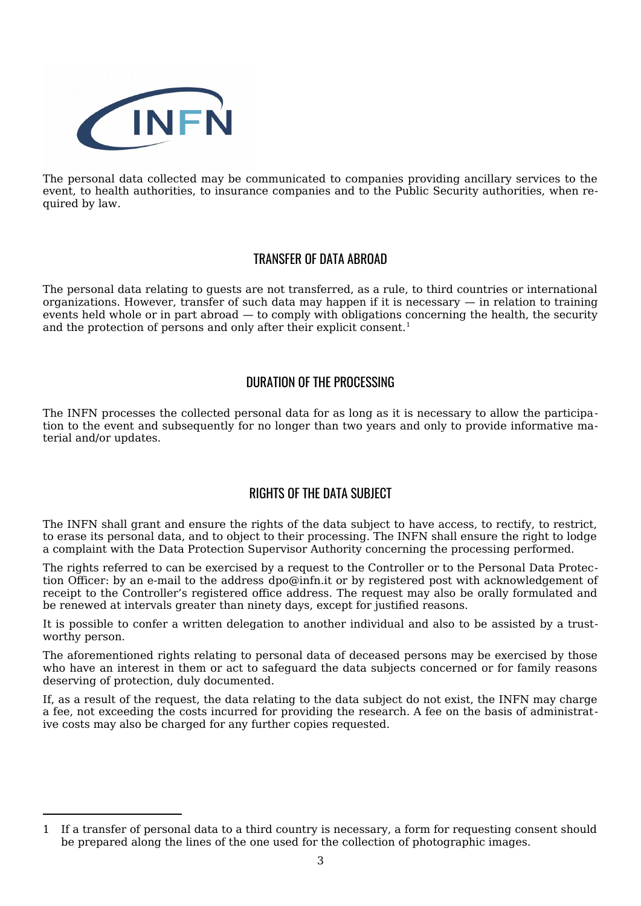

The personal data collected may be communicated to companies providing ancillary services to the event, to health authorities, to insurance companies and to the Public Security authorities, when required by law.

## TRANSFER OF DATA ABROAD

The personal data relating to guests are not transferred, as a rule, to third countries or international organizations. However, transfer of such data may happen if it is necessary — in relation to training events held whole or in part abroad — to comply with obligations concerning the health, the security and the protection of persons and only after their explicit consent.<sup>1</sup>

## DURATION OF THE PROCESSING

The INFN processes the collected personal data for as long as it is necessary to allow the participation to the event and subsequently for no longer than two years and only to provide informative material and/or updates.

# RIGHTS OF THE DATA SUBJECT

The INFN shall grant and ensure the rights of the data subject to have access, to rectify, to restrict, to erase its personal data, and to object to their processing. The INFN shall ensure the right to lodge a complaint with the Data Protection Supervisor Authority concerning the processing performed.

The rights referred to can be exercised by a request to the Controller or to the Personal Data Protection Officer: by an e-mail to the address dpo@infn.it or by registered post with acknowledgement of receipt to the Controller's registered office address. The request may also be orally formulated and be renewed at intervals greater than ninety days, except for justified reasons.

It is possible to confer a written delegation to another individual and also to be assisted by a trustworthy person.

The aforementioned rights relating to personal data of deceased persons may be exercised by those who have an interest in them or act to safeguard the data subjects concerned or for family reasons deserving of protection, duly documented.

If, as a result of the request, the data relating to the data subject do not exist, the INFN may charge a fee, not exceeding the costs incurred for providing the research. A fee on the basis of administrat ive costs may also be charged for any further copies requested.

<sup>1</sup> If a transfer of personal data to a third country is necessary, a form for requesting consent should be prepared along the lines of the one used for the collection of photographic images.